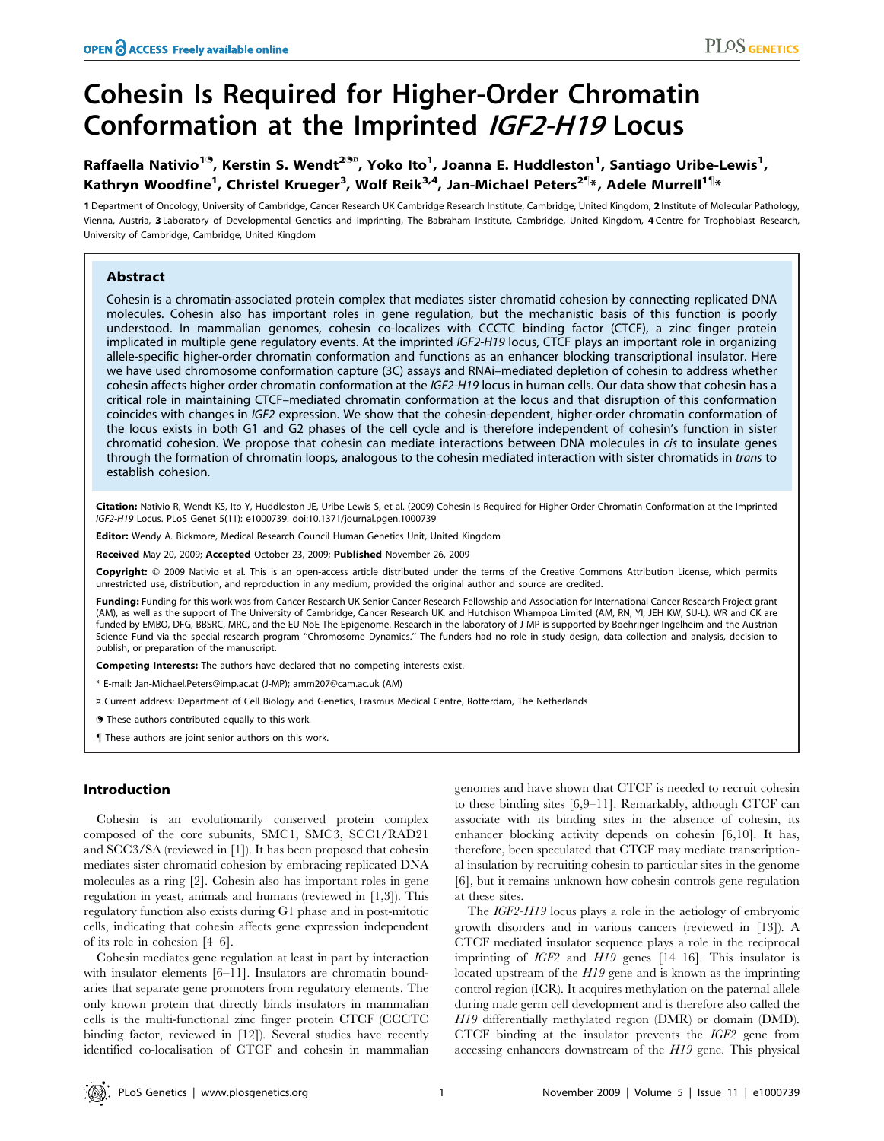# Cohesin Is Required for Higher-Order Chromatin Conformation at the Imprinted IGF2-H19 Locus

# Raffaella Nativio<sup>19</sup>, Kerstin S. Wendt<sup>29¤</sup>, Yoko Ito<sup>1</sup>, Joanna E. Huddleston<sup>1</sup>, Santiago Uribe-Lewis<sup>1</sup>, Kathryn Woodfine<sup>1</sup>, Christel Krueger<sup>3</sup>, Wolf Reik<sup>3,4</sup>, Jan-Michael Peters<sup>2¶</sup>\*, Adele Murrell<sup>1¶</sup>\*

1 Department of Oncology, University of Cambridge, Cancer Research UK Cambridge Research Institute, Cambridge, United Kingdom, 2 Institute of Molecular Pathology, Vienna, Austria, 3 Laboratory of Developmental Genetics and Imprinting, The Babraham Institute, Cambridge, United Kingdom, 4 Centre for Trophoblast Research, University of Cambridge, Cambridge, United Kingdom

# Abstract

Cohesin is a chromatin-associated protein complex that mediates sister chromatid cohesion by connecting replicated DNA molecules. Cohesin also has important roles in gene regulation, but the mechanistic basis of this function is poorly understood. In mammalian genomes, cohesin co-localizes with CCCTC binding factor (CTCF), a zinc finger protein implicated in multiple gene regulatory events. At the imprinted IGF2-H19 locus, CTCF plays an important role in organizing allele-specific higher-order chromatin conformation and functions as an enhancer blocking transcriptional insulator. Here we have used chromosome conformation capture (3C) assays and RNAi–mediated depletion of cohesin to address whether cohesin affects higher order chromatin conformation at the IGF2-H19 locus in human cells. Our data show that cohesin has a critical role in maintaining CTCF–mediated chromatin conformation at the locus and that disruption of this conformation coincides with changes in IGF2 expression. We show that the cohesin-dependent, higher-order chromatin conformation of the locus exists in both G1 and G2 phases of the cell cycle and is therefore independent of cohesin's function in sister chromatid cohesion. We propose that cohesin can mediate interactions between DNA molecules in cis to insulate genes through the formation of chromatin loops, analogous to the cohesin mediated interaction with sister chromatids in trans to establish cohesion.

Citation: Nativio R, Wendt KS, Ito Y, Huddleston JE, Uribe-Lewis S, et al. (2009) Cohesin Is Required for Higher-Order Chromatin Conformation at the Imprinted IGF2-H19 Locus. PLoS Genet 5(11): e1000739. doi:10.1371/journal.pgen.1000739

Editor: Wendy A. Bickmore, Medical Research Council Human Genetics Unit, United Kingdom

Received May 20, 2009; Accepted October 23, 2009; Published November 26, 2009

Copyright: © 2009 Nativio et al. This is an open-access article distributed under the terms of the Creative Commons Attribution License, which permits unrestricted use, distribution, and reproduction in any medium, provided the original author and source are credited.

Funding: Funding for this work was from Cancer Research UK Senior Cancer Research Fellowship and Association for International Cancer Research Project grant (AM), as well as the support of The University of Cambridge, Cancer Research UK, and Hutchison Whampoa Limited (AM, RN, YI, JEH KW, SU-L). WR and CK are funded by EMBO, DFG, BBSRC, MRC, and the EU NoE The Epigenome. Research in the laboratory of J-MP is supported by Boehringer Ingelheim and the Austrian Science Fund via the special research program ''Chromosome Dynamics.'' The funders had no role in study design, data collection and analysis, decision to publish, or preparation of the manuscript.

Competing Interests: The authors have declared that no competing interests exist.

\* E-mail: Jan-Michael.Peters@imp.ac.at (J-MP); amm207@cam.ac.uk (AM)

- ¤ Current address: Department of Cell Biology and Genetics, Erasmus Medical Centre, Rotterdam, The Netherlands
- **. These authors contributed equally to this work.**
- These authors are joint senior authors on this work.

# Introduction

Cohesin is an evolutionarily conserved protein complex composed of the core subunits, SMC1, SMC3, SCC1/RAD21 and SCC3/SA (reviewed in [1]). It has been proposed that cohesin mediates sister chromatid cohesion by embracing replicated DNA molecules as a ring [2]. Cohesin also has important roles in gene regulation in yeast, animals and humans (reviewed in [1,3]). This regulatory function also exists during G1 phase and in post-mitotic cells, indicating that cohesin affects gene expression independent of its role in cohesion [4–6].

Cohesin mediates gene regulation at least in part by interaction with insulator elements [6–11]. Insulators are chromatin boundaries that separate gene promoters from regulatory elements. The only known protein that directly binds insulators in mammalian cells is the multi-functional zinc finger protein CTCF (CCCTC binding factor, reviewed in [12]). Several studies have recently identified co-localisation of CTCF and cohesin in mammalian

genomes and have shown that CTCF is needed to recruit cohesin to these binding sites [6,9–11]. Remarkably, although CTCF can associate with its binding sites in the absence of cohesin, its enhancer blocking activity depends on cohesin [6,10]. It has, therefore, been speculated that CTCF may mediate transcriptional insulation by recruiting cohesin to particular sites in the genome [6], but it remains unknown how cohesin controls gene regulation at these sites.

The IGF2-H19 locus plays a role in the aetiology of embryonic growth disorders and in various cancers (reviewed in [13]). A CTCF mediated insulator sequence plays a role in the reciprocal imprinting of IGF2 and H19 genes [14–16]. This insulator is located upstream of the H19 gene and is known as the imprinting control region (ICR). It acquires methylation on the paternal allele during male germ cell development and is therefore also called the H19 differentially methylated region (DMR) or domain (DMD). CTCF binding at the insulator prevents the IGF2 gene from accessing enhancers downstream of the H19 gene. This physical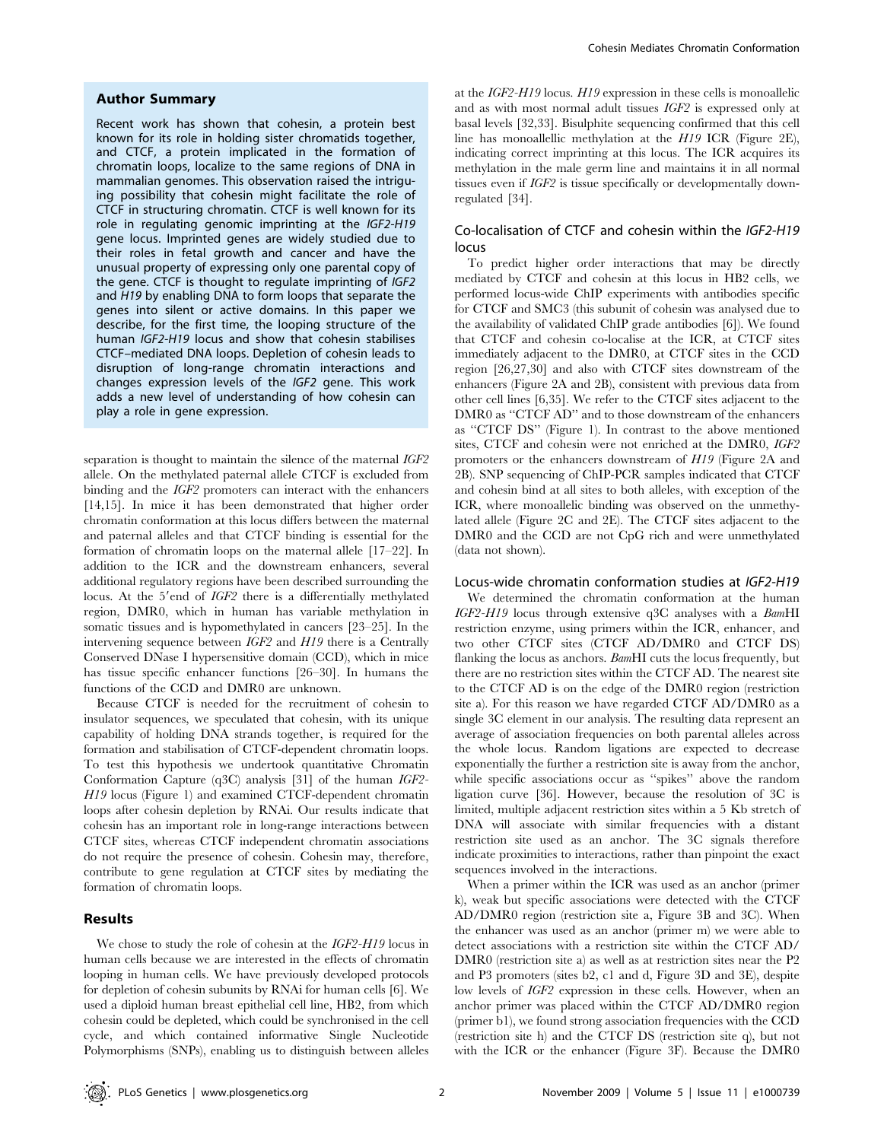#### Author Summary

Recent work has shown that cohesin, a protein best known for its role in holding sister chromatids together, and CTCF, a protein implicated in the formation of chromatin loops, localize to the same regions of DNA in mammalian genomes. This observation raised the intriguing possibility that cohesin might facilitate the role of CTCF in structuring chromatin. CTCF is well known for its role in regulating genomic imprinting at the IGF2-H19 gene locus. Imprinted genes are widely studied due to their roles in fetal growth and cancer and have the unusual property of expressing only one parental copy of the gene. CTCF is thought to regulate imprinting of IGF2 and H19 by enabling DNA to form loops that separate the genes into silent or active domains. In this paper we describe, for the first time, the looping structure of the human IGF2-H19 locus and show that cohesin stabilises CTCF–mediated DNA loops. Depletion of cohesin leads to disruption of long-range chromatin interactions and changes expression levels of the IGF2 gene. This work adds a new level of understanding of how cohesin can play a role in gene expression.

separation is thought to maintain the silence of the maternal IGF2 allele. On the methylated paternal allele CTCF is excluded from binding and the IGF2 promoters can interact with the enhancers [14,15]. In mice it has been demonstrated that higher order chromatin conformation at this locus differs between the maternal and paternal alleles and that CTCF binding is essential for the formation of chromatin loops on the maternal allele [17–22]. In addition to the ICR and the downstream enhancers, several additional regulatory regions have been described surrounding the locus. At the 5'end of IGF2 there is a differentially methylated region, DMR0, which in human has variable methylation in somatic tissues and is hypomethylated in cancers [23–25]. In the intervening sequence between IGF2 and H19 there is a Centrally Conserved DNase I hypersensitive domain (CCD), which in mice has tissue specific enhancer functions [26–30]. In humans the functions of the CCD and DMR0 are unknown.

Because CTCF is needed for the recruitment of cohesin to insulator sequences, we speculated that cohesin, with its unique capability of holding DNA strands together, is required for the formation and stabilisation of CTCF-dependent chromatin loops. To test this hypothesis we undertook quantitative Chromatin Conformation Capture (q3C) analysis [31] of the human IGF2- H19 locus (Figure 1) and examined CTCF-dependent chromatin loops after cohesin depletion by RNAi. Our results indicate that cohesin has an important role in long-range interactions between CTCF sites, whereas CTCF independent chromatin associations do not require the presence of cohesin. Cohesin may, therefore, contribute to gene regulation at CTCF sites by mediating the formation of chromatin loops.

# Results

We chose to study the role of cohesin at the IGF2-H19 locus in human cells because we are interested in the effects of chromatin looping in human cells. We have previously developed protocols for depletion of cohesin subunits by RNAi for human cells [6]. We used a diploid human breast epithelial cell line, HB2, from which cohesin could be depleted, which could be synchronised in the cell cycle, and which contained informative Single Nucleotide Polymorphisms (SNPs), enabling us to distinguish between alleles

at the IGF2-H19 locus. H19 expression in these cells is monoallelic and as with most normal adult tissues IGF2 is expressed only at basal levels [32,33]. Bisulphite sequencing confirmed that this cell line has monoallellic methylation at the H19 ICR (Figure 2E), indicating correct imprinting at this locus. The ICR acquires its methylation in the male germ line and maintains it in all normal tissues even if IGF2 is tissue specifically or developmentally downregulated [34].

# Co-localisation of CTCF and cohesin within the IGF2-H19 locus

To predict higher order interactions that may be directly mediated by CTCF and cohesin at this locus in HB2 cells, we performed locus-wide ChIP experiments with antibodies specific for CTCF and SMC3 (this subunit of cohesin was analysed due to the availability of validated ChIP grade antibodies [6]). We found that CTCF and cohesin co-localise at the ICR, at CTCF sites immediately adjacent to the DMR0, at CTCF sites in the CCD region [26,27,30] and also with CTCF sites downstream of the enhancers (Figure 2A and 2B), consistent with previous data from other cell lines [6,35]. We refer to the CTCF sites adjacent to the DMR0 as "CTCF AD" and to those downstream of the enhancers as ''CTCF DS'' (Figure 1). In contrast to the above mentioned sites, CTCF and cohesin were not enriched at the DMR0, IGF2 promoters or the enhancers downstream of H19 (Figure 2A and 2B). SNP sequencing of ChIP-PCR samples indicated that CTCF and cohesin bind at all sites to both alleles, with exception of the ICR, where monoallelic binding was observed on the unmethylated allele (Figure 2C and 2E). The CTCF sites adjacent to the DMR0 and the CCD are not CpG rich and were unmethylated (data not shown).

#### Locus-wide chromatin conformation studies at IGF2-H19

We determined the chromatin conformation at the human IGF2-H19 locus through extensive q3C analyses with a BamHI restriction enzyme, using primers within the ICR, enhancer, and two other CTCF sites (CTCF AD/DMR0 and CTCF DS) flanking the locus as anchors. BamHI cuts the locus frequently, but there are no restriction sites within the CTCF AD. The nearest site to the CTCF AD is on the edge of the DMR0 region (restriction site a). For this reason we have regarded CTCF AD/DMR0 as a single 3C element in our analysis. The resulting data represent an average of association frequencies on both parental alleles across the whole locus. Random ligations are expected to decrease exponentially the further a restriction site is away from the anchor, while specific associations occur as ''spikes'' above the random ligation curve [36]. However, because the resolution of 3C is limited, multiple adjacent restriction sites within a 5 Kb stretch of DNA will associate with similar frequencies with a distant restriction site used as an anchor. The 3C signals therefore indicate proximities to interactions, rather than pinpoint the exact sequences involved in the interactions.

When a primer within the ICR was used as an anchor (primer k), weak but specific associations were detected with the CTCF AD/DMR0 region (restriction site a, Figure 3B and 3C). When the enhancer was used as an anchor (primer m) we were able to detect associations with a restriction site within the CTCF AD/ DMR0 (restriction site a) as well as at restriction sites near the P2 and P3 promoters (sites b2, c1 and d, Figure 3D and 3E), despite low levels of *IGF2* expression in these cells. However, when an anchor primer was placed within the CTCF AD/DMR0 region (primer b1), we found strong association frequencies with the CCD (restriction site h) and the CTCF DS (restriction site q), but not with the ICR or the enhancer (Figure 3F). Because the DMR0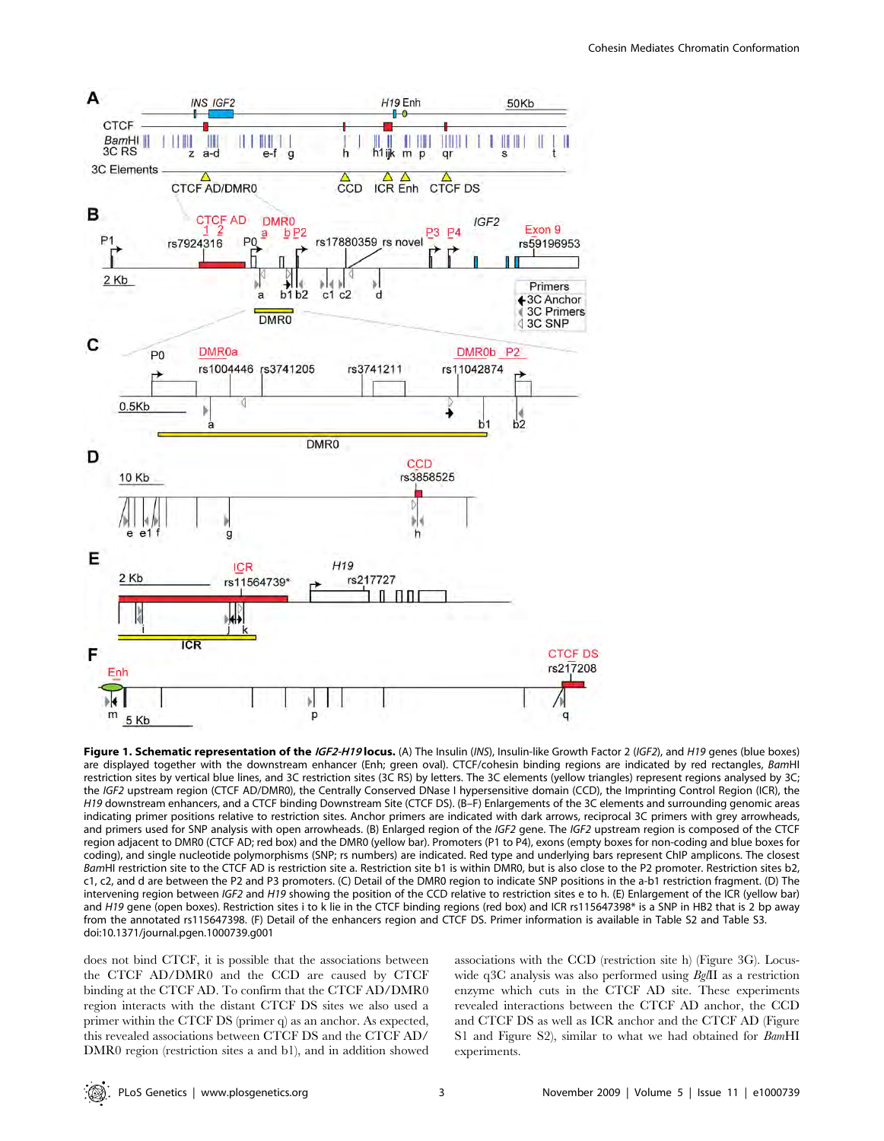

Figure 1. Schematic representation of the IGF2-H19 locus. (A) The Insulin (INS), Insulin-like Growth Factor 2 (IGF2), and H19 genes (blue boxes) are displayed together with the downstream enhancer (Enh; green oval). CTCF/cohesin binding regions are indicated by red rectangles, BamHI restriction sites by vertical blue lines, and 3C restriction sites (3C RS) by letters. The 3C elements (yellow triangles) represent regions analysed by 3C; the IGF2 upstream region (CTCF AD/DMR0), the Centrally Conserved DNase I hypersensitive domain (CCD), the Imprinting Control Region (ICR), the H19 downstream enhancers, and a CTCF binding Downstream Site (CTCF DS). (B–F) Enlargements of the 3C elements and surrounding genomic areas indicating primer positions relative to restriction sites. Anchor primers are indicated with dark arrows, reciprocal 3C primers with grey arrowheads, and primers used for SNP analysis with open arrowheads. (B) Enlarged region of the IGF2 gene. The IGF2 upstream region is composed of the CTCF region adjacent to DMR0 (CTCF AD; red box) and the DMR0 (yellow bar). Promoters (P1 to P4), exons (empty boxes for non-coding and blue boxes for coding), and single nucleotide polymorphisms (SNP; rs numbers) are indicated. Red type and underlying bars represent ChIP amplicons. The closest BamHI restriction site to the CTCF AD is restriction site a. Restriction site b1 is within DMR0, but is also close to the P2 promoter. Restriction sites b2, c1, c2, and d are between the P2 and P3 promoters. (C) Detail of the DMR0 region to indicate SNP positions in the a-b1 restriction fragment. (D) The intervening region between IGF2 and H19 showing the position of the CCD relative to restriction sites e to h. (E) Enlargement of the ICR (yellow bar) and H19 gene (open boxes). Restriction sites i to k lie in the CTCF binding regions (red box) and ICR rs115647398\* is a SNP in HB2 that is 2 bp away from the annotated rs115647398. (F) Detail of the enhancers region and CTCF DS. Primer information is available in Table S2 and Table S3. doi:10.1371/journal.pgen.1000739.g001

does not bind CTCF, it is possible that the associations between the CTCF AD/DMR0 and the CCD are caused by CTCF binding at the CTCF AD. To confirm that the CTCF AD/DMR0 region interacts with the distant CTCF DS sites we also used a primer within the CTCF DS (primer q) as an anchor. As expected, this revealed associations between CTCF DS and the CTCF AD/ DMR0 region (restriction sites a and b1), and in addition showed associations with the CCD (restriction site h) (Figure 3G). Locuswide q3C analysis was also performed using BglII as a restriction enzyme which cuts in the CTCF AD site. These experiments revealed interactions between the CTCF AD anchor, the CCD and CTCF DS as well as ICR anchor and the CTCF AD (Figure S1 and Figure S2), similar to what we had obtained for BamHI experiments.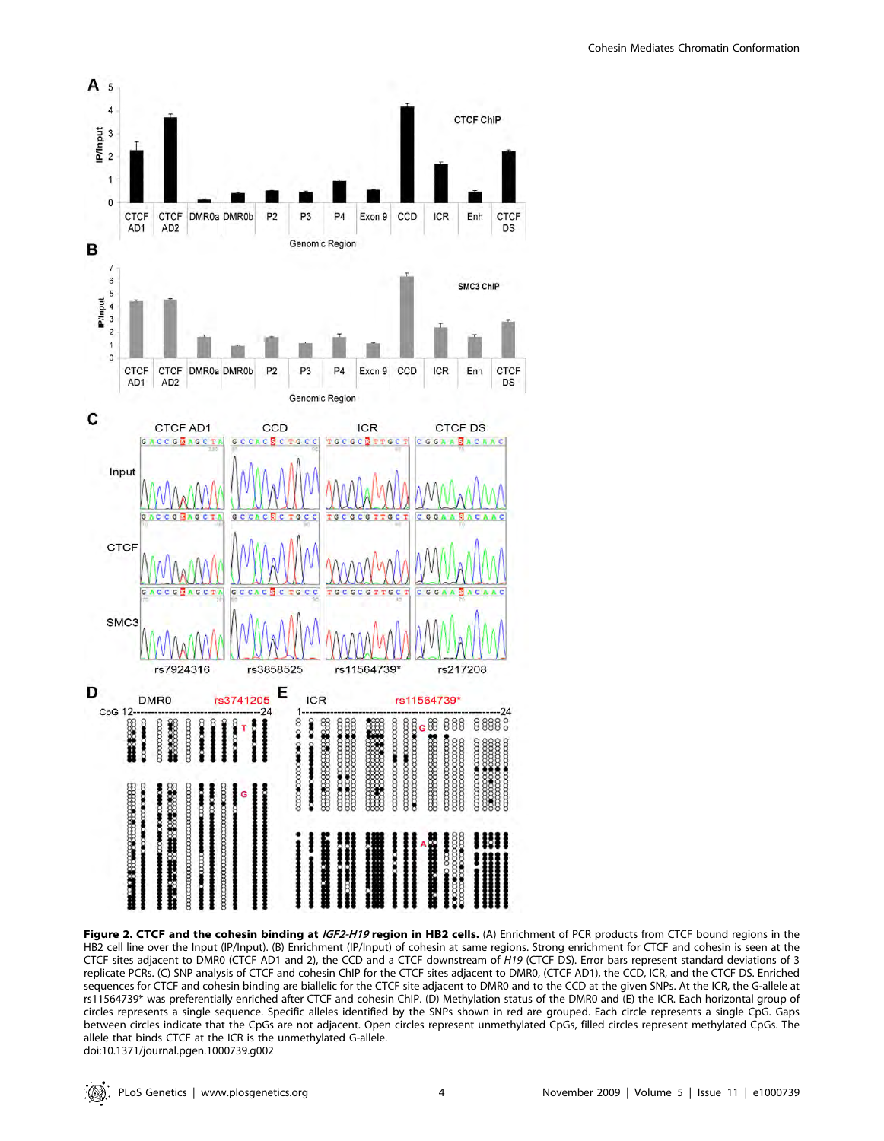

Figure 2. CTCF and the cohesin binding at IGF2-H19 region in HB2 cells. (A) Enrichment of PCR products from CTCF bound regions in the HB2 cell line over the Input (IP/Input). (B) Enrichment (IP/Input) of cohesin at same regions. Strong enrichment for CTCF and cohesin is seen at the CTCF sites adjacent to DMR0 (CTCF AD1 and 2), the CCD and a CTCF downstream of H19 (CTCF DS). Error bars represent standard deviations of 3 replicate PCRs. (C) SNP analysis of CTCF and cohesin ChIP for the CTCF sites adjacent to DMR0, (CTCF AD1), the CCD, ICR, and the CTCF DS. Enriched sequences for CTCF and cohesin binding are biallelic for the CTCF site adjacent to DMR0 and to the CCD at the given SNPs. At the ICR, the G-allele at rs11564739\* was preferentially enriched after CTCF and cohesin ChIP. (D) Methylation status of the DMR0 and (E) the ICR. Each horizontal group of circles represents a single sequence. Specific alleles identified by the SNPs shown in red are grouped. Each circle represents a single CpG. Gaps between circles indicate that the CpGs are not adjacent. Open circles represent unmethylated CpGs, filled circles represent methylated CpGs. The allele that binds CTCF at the ICR is the unmethylated G-allele. doi:10.1371/journal.pgen.1000739.g002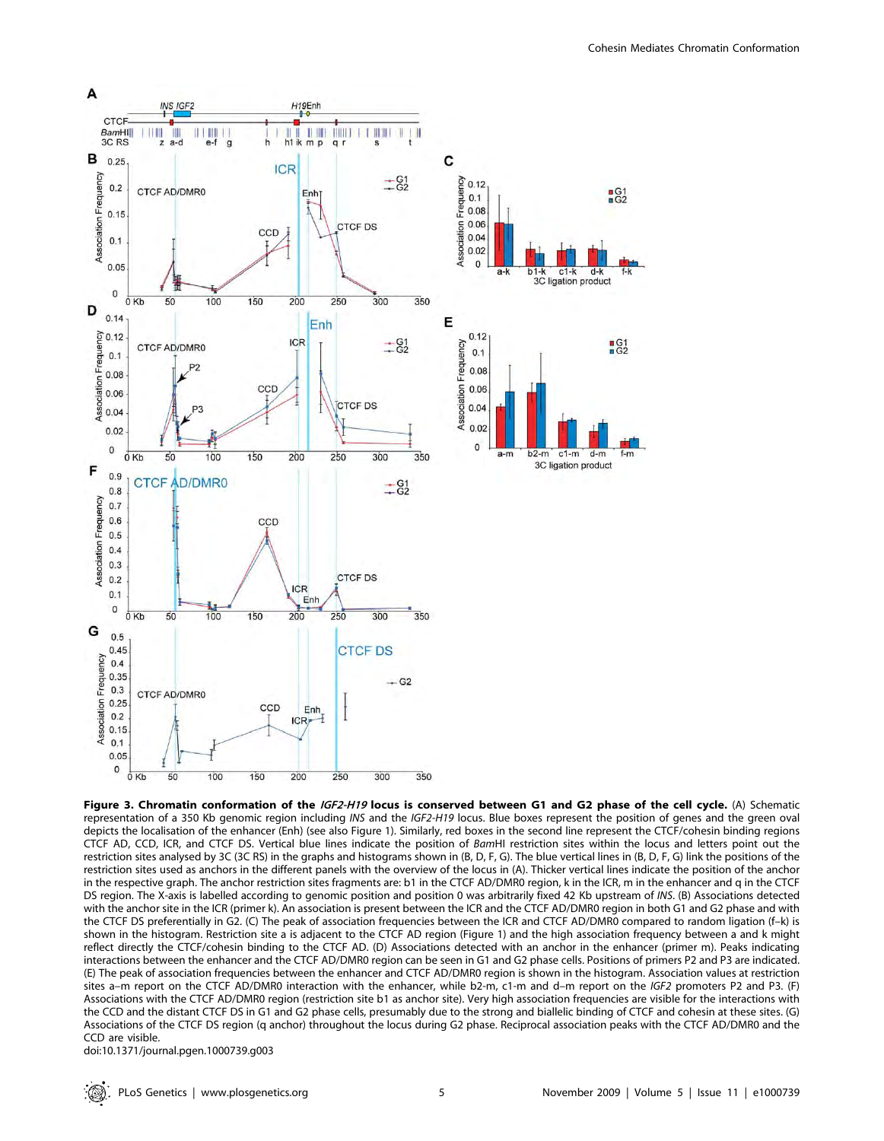

Figure 3. Chromatin conformation of the IGF2-H19 locus is conserved between G1 and G2 phase of the cell cycle. (A) Schematic representation of a 350 Kb genomic region including INS and the IGF2-H19 locus. Blue boxes represent the position of genes and the green oval depicts the localisation of the enhancer (Enh) (see also Figure 1). Similarly, red boxes in the second line represent the CTCF/cohesin binding regions CTCF AD, CCD, ICR, and CTCF DS. Vertical blue lines indicate the position of BamHI restriction sites within the locus and letters point out the restriction sites analysed by 3C (3C RS) in the graphs and histograms shown in (B, D, F, G). The blue vertical lines in (B, D, F, G) link the positions of the restriction sites used as anchors in the different panels with the overview of the locus in (A). Thicker vertical lines indicate the position of the anchor in the respective graph. The anchor restriction sites fragments are: b1 in the CTCF AD/DMR0 region, k in the ICR, m in the enhancer and q in the CTCF DS region. The X-axis is labelled according to genomic position and position 0 was arbitrarily fixed 42 Kb upstream of INS. (B) Associations detected with the anchor site in the ICR (primer k). An association is present between the ICR and the CTCF AD/DMR0 region in both G1 and G2 phase and with the CTCF DS preferentially in G2. (C) The peak of association frequencies between the ICR and CTCF AD/DMR0 compared to random ligation (f–k) is shown in the histogram. Restriction site a is adjacent to the CTCF AD region (Figure 1) and the high association frequency between a and k might reflect directly the CTCF/cohesin binding to the CTCF AD. (D) Associations detected with an anchor in the enhancer (primer m). Peaks indicating interactions between the enhancer and the CTCF AD/DMR0 region can be seen in G1 and G2 phase cells. Positions of primers P2 and P3 are indicated. (E) The peak of association frequencies between the enhancer and CTCF AD/DMR0 region is shown in the histogram. Association values at restriction sites a–m report on the CTCF AD/DMR0 interaction with the enhancer, while b2-m, c1-m and d–m report on the IGF2 promoters P2 and P3. (F) Associations with the CTCF AD/DMR0 region (restriction site b1 as anchor site). Very high association frequencies are visible for the interactions with the CCD and the distant CTCF DS in G1 and G2 phase cells, presumably due to the strong and biallelic binding of CTCF and cohesin at these sites. (G) Associations of the CTCF DS region (q anchor) throughout the locus during G2 phase. Reciprocal association peaks with the CTCF AD/DMR0 and the CCD are visible.

doi:10.1371/journal.pgen.1000739.g003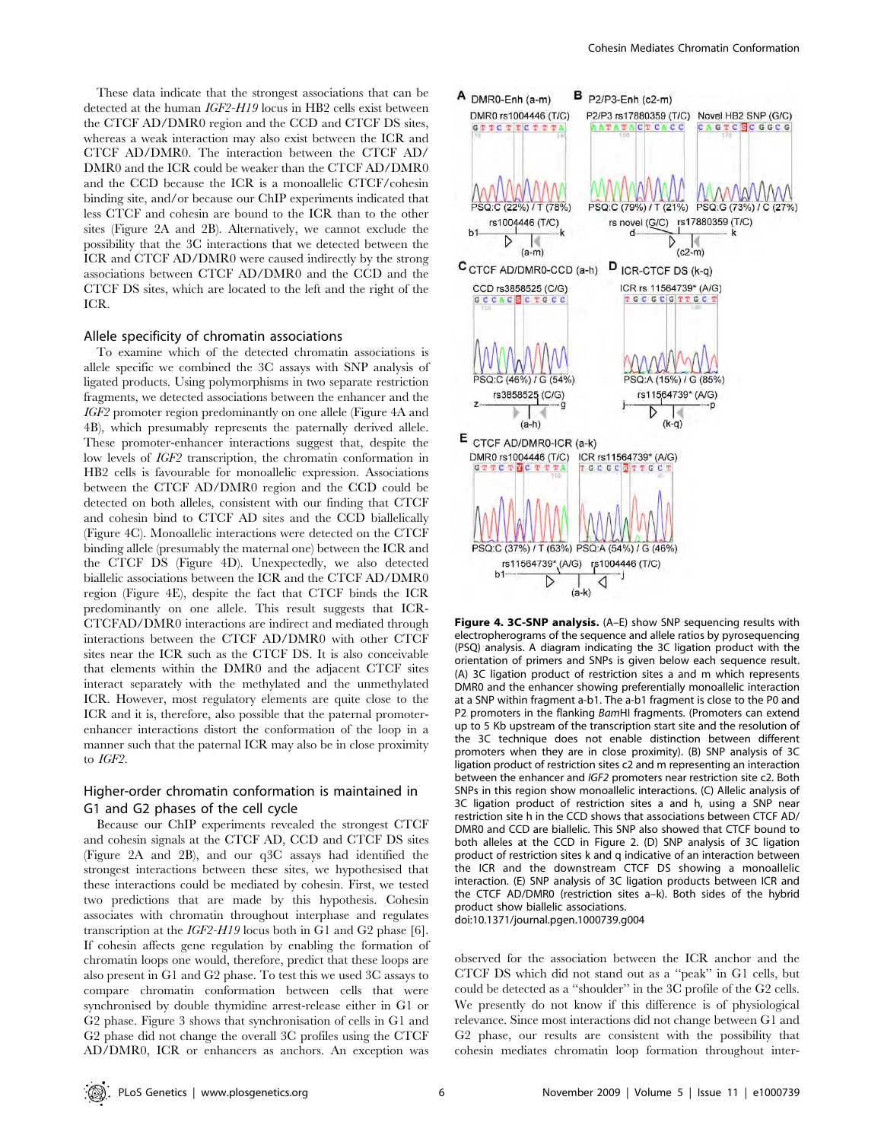These data indicate that the strongest associations that can be detected at the human IGF2-H19 locus in HB2 cells exist between the CTCF AD/DMR0 region and the CCD and CTCF DS sites, whereas a weak interaction may also exist between the ICR and CTCF AD/DMR0. The interaction between the CTCF AD/ DMR0 and the ICR could be weaker than the CTCF AD/DMR0 and the CCD because the ICR is a monoallelic CTCF/cohesin binding site, and/or because our ChIP experiments indicated that less CTCF and cohesin are bound to the ICR than to the other sites (Figure 2A and 2B). Alternatively, we cannot exclude the possibility that the 3C interactions that we detected between the ICR and CTCF AD/DMR0 were caused indirectly by the strong associations between CTCF AD/DMR0 and the CCD and the CTCF DS sites, which are located to the left and the right of the ICR.

#### Allele specificity of chromatin associations

To examine which of the detected chromatin associations is allele specific we combined the 3C assays with SNP analysis of ligated products. Using polymorphisms in two separate restriction fragments, we detected associations between the enhancer and the IGF2 promoter region predominantly on one allele (Figure 4A and 4B), which presumably represents the paternally derived allele. These promoter-enhancer interactions suggest that, despite the low levels of IGF2 transcription, the chromatin conformation in HB2 cells is favourable for monoallelic expression. Associations between the CTCF AD/DMR0 region and the CCD could be detected on both alleles, consistent with our finding that CTCF and cohesin bind to CTCF AD sites and the CCD biallelically (Figure 4C). Monoallelic interactions were detected on the CTCF binding allele (presumably the maternal one) between the ICR and the CTCF DS (Figure 4D). Unexpectedly, we also detected biallelic associations between the ICR and the CTCF AD/DMR0 region (Figure 4E), despite the fact that CTCF binds the ICR predominantly on one allele. This result suggests that ICR-CTCFAD/DMR0 interactions are indirect and mediated through interactions between the CTCF AD/DMR0 with other CTCF sites near the ICR such as the CTCF DS. It is also conceivable that elements within the DMR0 and the adjacent CTCF sites interact separately with the methylated and the unmethylated ICR. However, most regulatory elements are quite close to the ICR and it is, therefore, also possible that the paternal promoterenhancer interactions distort the conformation of the loop in a manner such that the paternal ICR may also be in close proximity to IGF2.

# Higher-order chromatin conformation is maintained in G1 and G2 phases of the cell cycle

Because our ChIP experiments revealed the strongest CTCF and cohesin signals at the CTCF AD, CCD and CTCF DS sites (Figure 2A and 2B), and our q3C assays had identified the strongest interactions between these sites, we hypothesised that these interactions could be mediated by cohesin. First, we tested two predictions that are made by this hypothesis. Cohesin associates with chromatin throughout interphase and regulates transcription at the IGF2-H19 locus both in G1 and G2 phase [6]. If cohesin affects gene regulation by enabling the formation of chromatin loops one would, therefore, predict that these loops are also present in G1 and G2 phase. To test this we used 3C assays to compare chromatin conformation between cells that were synchronised by double thymidine arrest-release either in G1 or G2 phase. Figure 3 shows that synchronisation of cells in G1 and G2 phase did not change the overall 3C profiles using the CTCF AD/DMR0, ICR or enhancers as anchors. An exception was



Figure 4. 3C-SNP analysis. (A-E) show SNP sequencing results with electropherograms of the sequence and allele ratios by pyrosequencing (PSQ) analysis. A diagram indicating the 3C ligation product with the orientation of primers and SNPs is given below each sequence result. (A) 3C ligation product of restriction sites a and m which represents DMR0 and the enhancer showing preferentially monoallelic interaction at a SNP within fragment a-b1. The a-b1 fragment is close to the P0 and P2 promoters in the flanking BamHI fragments. (Promoters can extend up to 5 Kb upstream of the transcription start site and the resolution of the 3C technique does not enable distinction between different promoters when they are in close proximity). (B) SNP analysis of 3C ligation product of restriction sites c2 and m representing an interaction between the enhancer and IGF2 promoters near restriction site c2. Both SNPs in this region show monoallelic interactions. (C) Allelic analysis of 3C ligation product of restriction sites a and h, using a SNP near restriction site h in the CCD shows that associations between CTCF AD/ DMR0 and CCD are biallelic. This SNP also showed that CTCF bound to both alleles at the CCD in Figure 2. (D) SNP analysis of 3C ligation product of restriction sites k and q indicative of an interaction between the ICR and the downstream CTCF DS showing a monoallelic interaction. (E) SNP analysis of 3C ligation products between ICR and the CTCF AD/DMR0 (restriction sites a–k). Both sides of the hybrid product show biallelic associations. doi:10.1371/journal.pgen.1000739.g004

observed for the association between the ICR anchor and the CTCF DS which did not stand out as a ''peak'' in G1 cells, but could be detected as a ''shoulder'' in the 3C profile of the G2 cells. We presently do not know if this difference is of physiological relevance. Since most interactions did not change between G1 and G2 phase, our results are consistent with the possibility that cohesin mediates chromatin loop formation throughout inter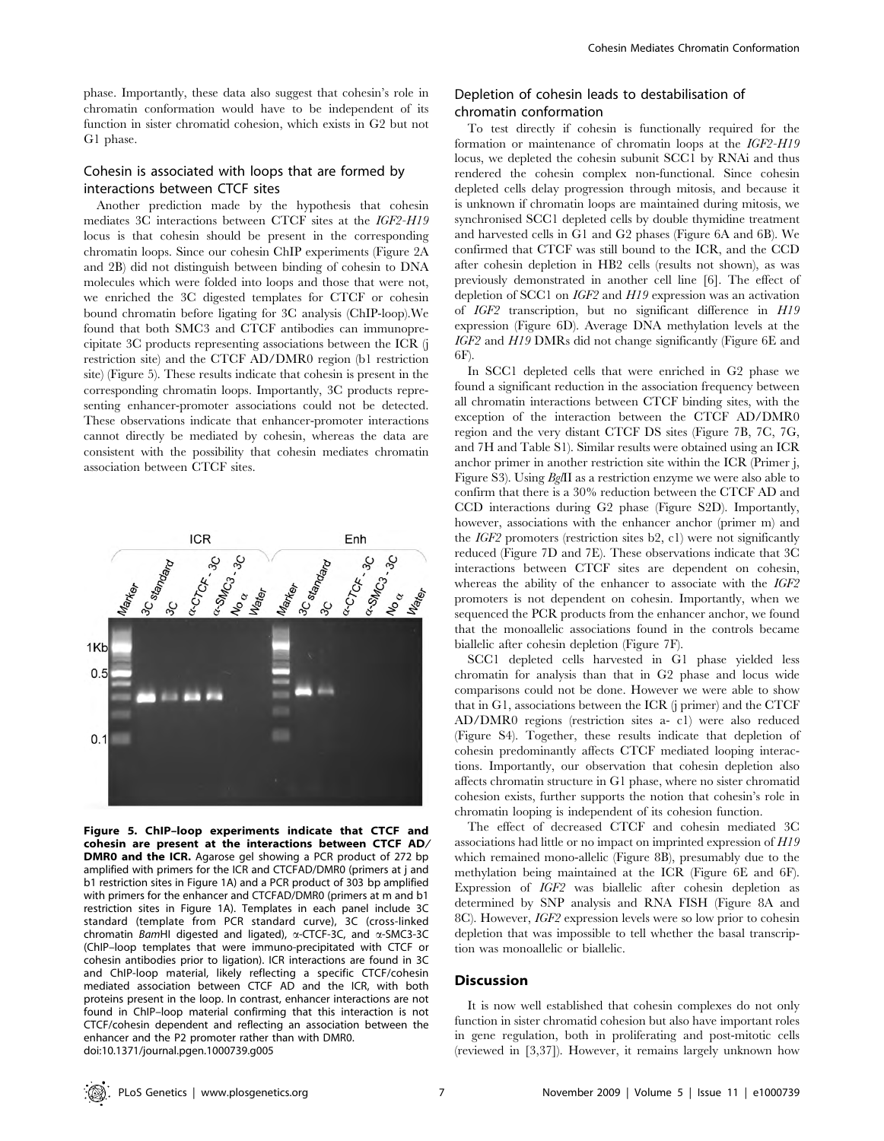phase. Importantly, these data also suggest that cohesin's role in chromatin conformation would have to be independent of its function in sister chromatid cohesion, which exists in G2 but not G1 phase.

# Cohesin is associated with loops that are formed by interactions between CTCF sites

Another prediction made by the hypothesis that cohesin mediates 3C interactions between CTCF sites at the IGF2-H19 locus is that cohesin should be present in the corresponding chromatin loops. Since our cohesin ChIP experiments (Figure 2A and 2B) did not distinguish between binding of cohesin to DNA molecules which were folded into loops and those that were not, we enriched the 3C digested templates for CTCF or cohesin bound chromatin before ligating for 3C analysis (ChIP-loop).We found that both SMC3 and CTCF antibodies can immunoprecipitate 3C products representing associations between the ICR (j restriction site) and the CTCF AD/DMR0 region (b1 restriction site) (Figure 5). These results indicate that cohesin is present in the corresponding chromatin loops. Importantly, 3C products representing enhancer-promoter associations could not be detected. These observations indicate that enhancer-promoter interactions cannot directly be mediated by cohesin, whereas the data are consistent with the possibility that cohesin mediates chromatin association between CTCF sites.



Figure 5. ChIP–loop experiments indicate that CTCF and cohesin are present at the interactions between CTCF AD/ **DMR0 and the ICR.** Agarose gel showing a PCR product of 272 bp amplified with primers for the ICR and CTCFAD/DMR0 (primers at j and b1 restriction sites in Figure 1A) and a PCR product of 303 bp amplified with primers for the enhancer and CTCFAD/DMR0 (primers at m and b1 restriction sites in Figure 1A). Templates in each panel include 3C standard (template from PCR standard curve), 3C (cross-linked chromatin BamHI digested and ligated), a-CTCF-3C, and a-SMC3-3C (ChIP–loop templates that were immuno-precipitated with CTCF or cohesin antibodies prior to ligation). ICR interactions are found in 3C and ChIP-loop material, likely reflecting a specific CTCF/cohesin mediated association between CTCF AD and the ICR, with both proteins present in the loop. In contrast, enhancer interactions are not found in ChIP–loop material confirming that this interaction is not CTCF/cohesin dependent and reflecting an association between the enhancer and the P2 promoter rather than with DMR0. doi:10.1371/journal.pgen.1000739.g005

# Depletion of cohesin leads to destabilisation of chromatin conformation

To test directly if cohesin is functionally required for the formation or maintenance of chromatin loops at the IGF2-H19 locus, we depleted the cohesin subunit SCC1 by RNAi and thus rendered the cohesin complex non-functional. Since cohesin depleted cells delay progression through mitosis, and because it is unknown if chromatin loops are maintained during mitosis, we synchronised SCC1 depleted cells by double thymidine treatment and harvested cells in G1 and G2 phases (Figure 6A and 6B). We confirmed that CTCF was still bound to the ICR, and the CCD after cohesin depletion in HB2 cells (results not shown), as was previously demonstrated in another cell line [6]. The effect of depletion of SCC1 on IGF2 and H19 expression was an activation of IGF2 transcription, but no significant difference in H19 expression (Figure 6D). Average DNA methylation levels at the IGF2 and H19 DMRs did not change significantly (Figure 6E and 6F).

In SCC1 depleted cells that were enriched in G2 phase we found a significant reduction in the association frequency between all chromatin interactions between CTCF binding sites, with the exception of the interaction between the CTCF AD/DMR0 region and the very distant CTCF DS sites (Figure 7B, 7C, 7G, and 7H and Table S1). Similar results were obtained using an ICR anchor primer in another restriction site within the ICR (Primer j, Figure S3). Using BglII as a restriction enzyme we were also able to confirm that there is a 30% reduction between the CTCF AD and CCD interactions during G2 phase (Figure S2D). Importantly, however, associations with the enhancer anchor (primer m) and the IGF2 promoters (restriction sites b2, c1) were not significantly reduced (Figure 7D and 7E). These observations indicate that 3C interactions between CTCF sites are dependent on cohesin, whereas the ability of the enhancer to associate with the IGF2 promoters is not dependent on cohesin. Importantly, when we sequenced the PCR products from the enhancer anchor, we found that the monoallelic associations found in the controls became biallelic after cohesin depletion (Figure 7F).

SCC1 depleted cells harvested in G1 phase yielded less chromatin for analysis than that in G2 phase and locus wide comparisons could not be done. However we were able to show that in G1, associations between the ICR (j primer) and the CTCF AD/DMR0 regions (restriction sites a- c1) were also reduced (Figure S4). Together, these results indicate that depletion of cohesin predominantly affects CTCF mediated looping interactions. Importantly, our observation that cohesin depletion also affects chromatin structure in G1 phase, where no sister chromatid cohesion exists, further supports the notion that cohesin's role in chromatin looping is independent of its cohesion function.

The effect of decreased CTCF and cohesin mediated 3C associations had little or no impact on imprinted expression of H19 which remained mono-allelic (Figure 8B), presumably due to the methylation being maintained at the ICR (Figure 6E and 6F). Expression of IGF2 was biallelic after cohesin depletion as determined by SNP analysis and RNA FISH (Figure 8A and 8C). However, IGF2 expression levels were so low prior to cohesin depletion that was impossible to tell whether the basal transcription was monoallelic or biallelic.

#### **Discussion**

It is now well established that cohesin complexes do not only function in sister chromatid cohesion but also have important roles in gene regulation, both in proliferating and post-mitotic cells (reviewed in [3,37]). However, it remains largely unknown how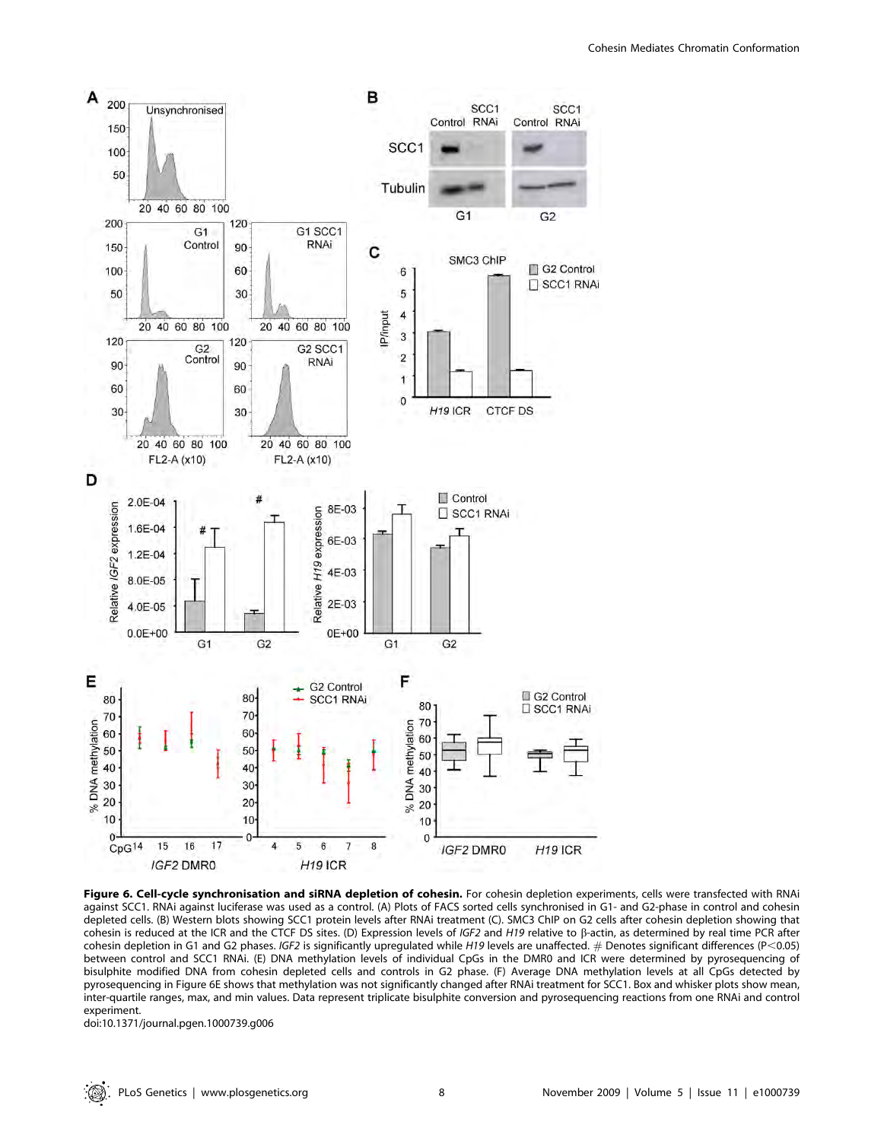

Figure 6. Cell-cycle synchronisation and siRNA depletion of cohesin. For cohesin depletion experiments, cells were transfected with RNAi against SCC1. RNAi against luciferase was used as a control. (A) Plots of FACS sorted cells synchronised in G1- and G2-phase in control and cohesin depleted cells. (B) Western blots showing SCC1 protein levels after RNAi treatment (C). SMC3 ChIP on G2 cells after cohesin depletion showing that cohesin is reduced at the ICR and the CTCF DS sites. (D) Expression levels of IGF2 and H19 relative to  $\beta$ -actin, as determined by real time PCR after cohesin depletion in G1 and G2 phases. IGF2 is significantly upregulated while H19 levels are unaffected. # Denotes significant differences (P<0.05) between control and SCC1 RNAi. (E) DNA methylation levels of individual CpGs in the DMR0 and ICR were determined by pyrosequencing of bisulphite modified DNA from cohesin depleted cells and controls in G2 phase. (F) Average DNA methylation levels at all CpGs detected by pyrosequencing in Figure 6E shows that methylation was not significantly changed after RNAi treatment for SCC1. Box and whisker plots show mean, inter-quartile ranges, max, and min values. Data represent triplicate bisulphite conversion and pyrosequencing reactions from one RNAi and control experiment.

doi:10.1371/journal.pgen.1000739.g006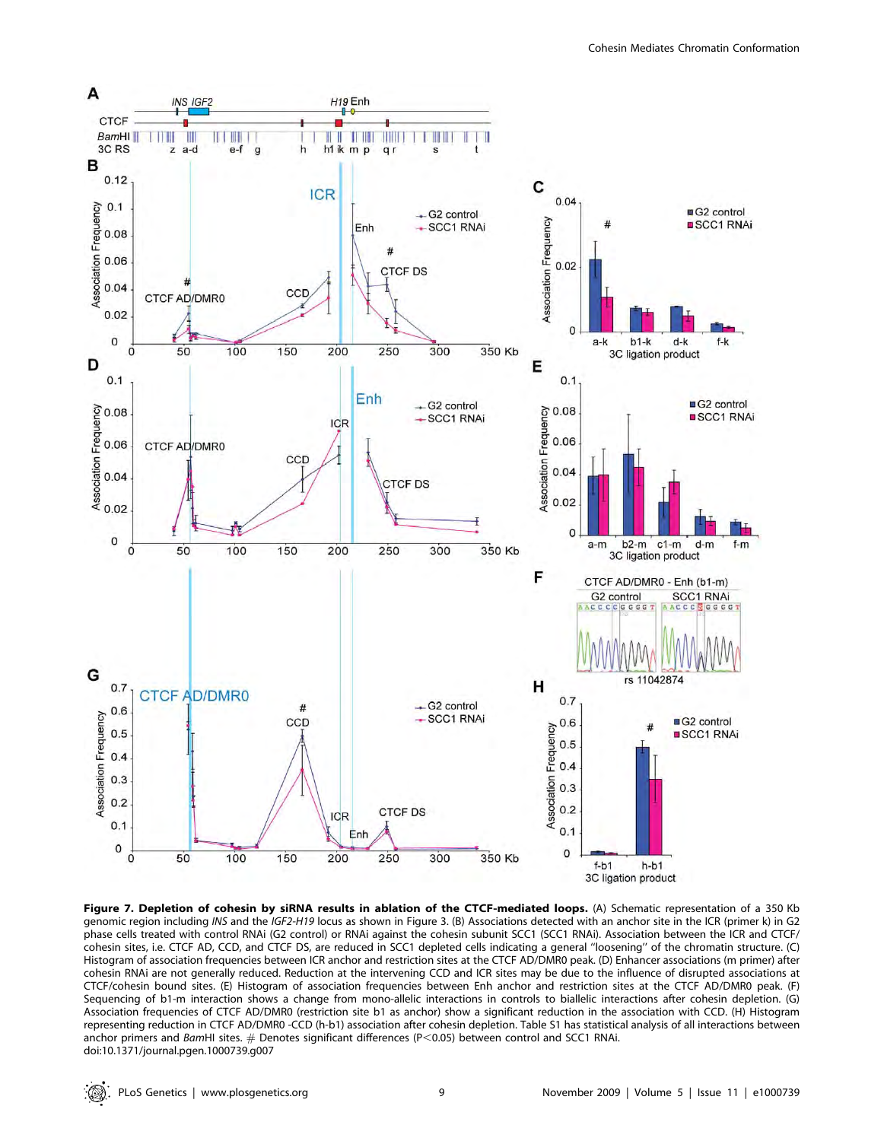

Figure 7. Depletion of cohesin by siRNA results in ablation of the CTCF-mediated loops. (A) Schematic representation of a 350 Kb genomic region including INS and the IGF2-H19 locus as shown in Figure 3. (B) Associations detected with an anchor site in the ICR (primer k) in G2 phase cells treated with control RNAi (G2 control) or RNAi against the cohesin subunit SCC1 (SCC1 RNAi). Association between the ICR and CTCF/ cohesin sites, i.e. CTCF AD, CCD, and CTCF DS, are reduced in SCC1 depleted cells indicating a general ''loosening'' of the chromatin structure. (C) Histogram of association frequencies between ICR anchor and restriction sites at the CTCF AD/DMR0 peak. (D) Enhancer associations (m primer) after cohesin RNAi are not generally reduced. Reduction at the intervening CCD and ICR sites may be due to the influence of disrupted associations at CTCF/cohesin bound sites. (E) Histogram of association frequencies between Enh anchor and restriction sites at the CTCF AD/DMR0 peak. (F) Sequencing of b1-m interaction shows a change from mono-allelic interactions in controls to biallelic interactions after cohesin depletion. (G) Association frequencies of CTCF AD/DMR0 (restriction site b1 as anchor) show a significant reduction in the association with CCD. (H) Histogram representing reduction in CTCF AD/DMR0 -CCD (h-b1) association after cohesin depletion. Table S1 has statistical analysis of all interactions between anchor primers and BamHI sites.  $#$  Denotes significant differences (P<0.05) between control and SCC1 RNAi. doi:10.1371/journal.pgen.1000739.g007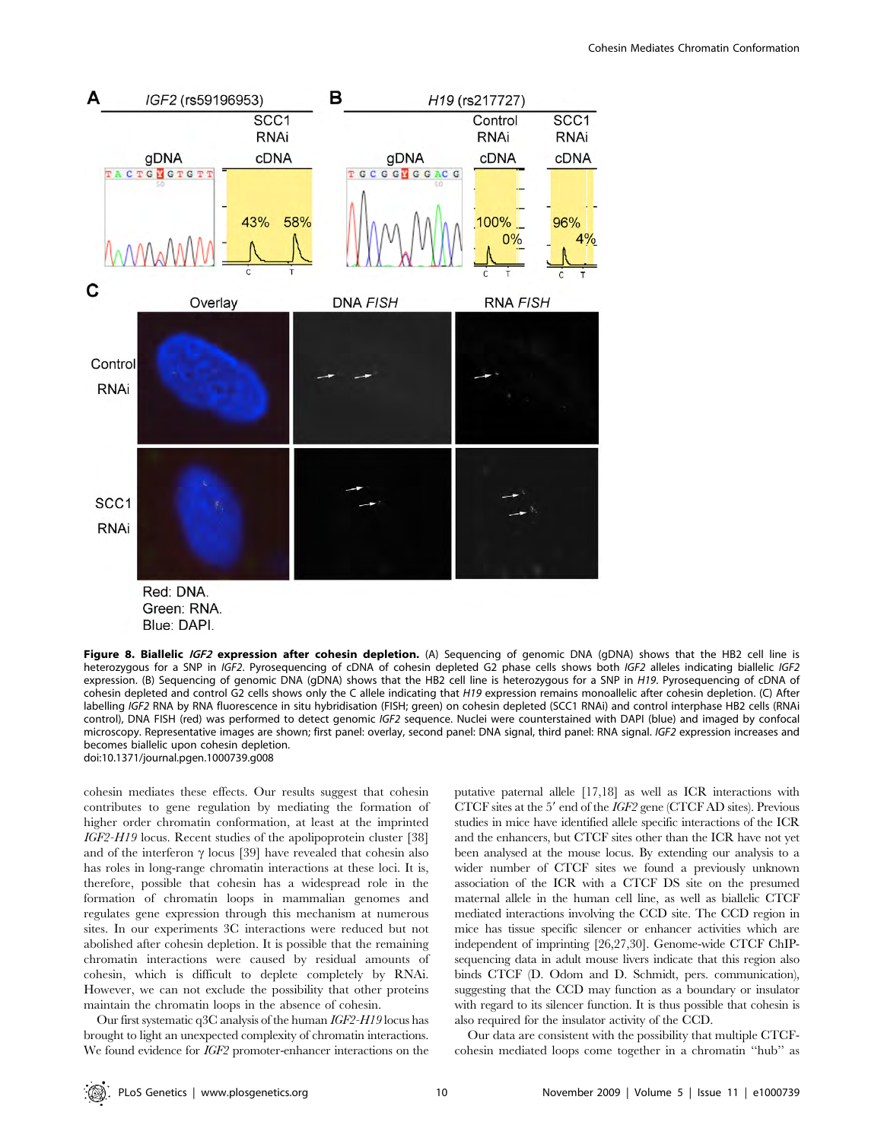

Green: RNA. Blue: DAPI.

Figure 8. Biallelic IGF2 expression after cohesin depletion. (A) Sequencing of genomic DNA (qDNA) shows that the HB2 cell line is heterozygous for a SNP in IGF2. Pyrosequencing of cDNA of cohesin depleted G2 phase cells shows both IGF2 alleles indicating biallelic IGF2 expression. (B) Sequencing of genomic DNA (gDNA) shows that the HB2 cell line is heterozygous for a SNP in H19. Pyrosequencing of cDNA of cohesin depleted and control G2 cells shows only the C allele indicating that H19 expression remains monoallelic after cohesin depletion. (C) After labelling IGF2 RNA by RNA fluorescence in situ hybridisation (FISH; green) on cohesin depleted (SCC1 RNAi) and control interphase HB2 cells (RNAi control), DNA FISH (red) was performed to detect genomic IGF2 sequence. Nuclei were counterstained with DAPI (blue) and imaged by confocal microscopy. Representative images are shown; first panel: overlay, second panel: DNA signal, third panel: RNA signal. IGF2 expression increases and becomes biallelic upon cohesin depletion. doi:10.1371/journal.pgen.1000739.g008

cohesin mediates these effects. Our results suggest that cohesin contributes to gene regulation by mediating the formation of higher order chromatin conformation, at least at the imprinted IGF2-H19 locus. Recent studies of the apolipoprotein cluster [38] and of the interferon  $\gamma$  locus [39] have revealed that cohesin also has roles in long-range chromatin interactions at these loci. It is, therefore, possible that cohesin has a widespread role in the formation of chromatin loops in mammalian genomes and regulates gene expression through this mechanism at numerous sites. In our experiments 3C interactions were reduced but not abolished after cohesin depletion. It is possible that the remaining chromatin interactions were caused by residual amounts of cohesin, which is difficult to deplete completely by RNAi. However, we can not exclude the possibility that other proteins maintain the chromatin loops in the absence of cohesin.

Our first systematic q3C analysis of the human IGF2-H19 locus has brought to light an unexpected complexity of chromatin interactions. We found evidence for IGF2 promoter-enhancer interactions on the putative paternal allele [17,18] as well as ICR interactions with CTCF sites at the  $5'$  end of the IGF2 gene (CTCF AD sites). Previous studies in mice have identified allele specific interactions of the ICR and the enhancers, but CTCF sites other than the ICR have not yet been analysed at the mouse locus. By extending our analysis to a wider number of CTCF sites we found a previously unknown association of the ICR with a CTCF DS site on the presumed maternal allele in the human cell line, as well as biallelic CTCF mediated interactions involving the CCD site. The CCD region in mice has tissue specific silencer or enhancer activities which are independent of imprinting [26,27,30]. Genome-wide CTCF ChIPsequencing data in adult mouse livers indicate that this region also binds CTCF (D. Odom and D. Schmidt, pers. communication), suggesting that the CCD may function as a boundary or insulator with regard to its silencer function. It is thus possible that cohesin is also required for the insulator activity of the CCD.

Our data are consistent with the possibility that multiple CTCFcohesin mediated loops come together in a chromatin ''hub'' as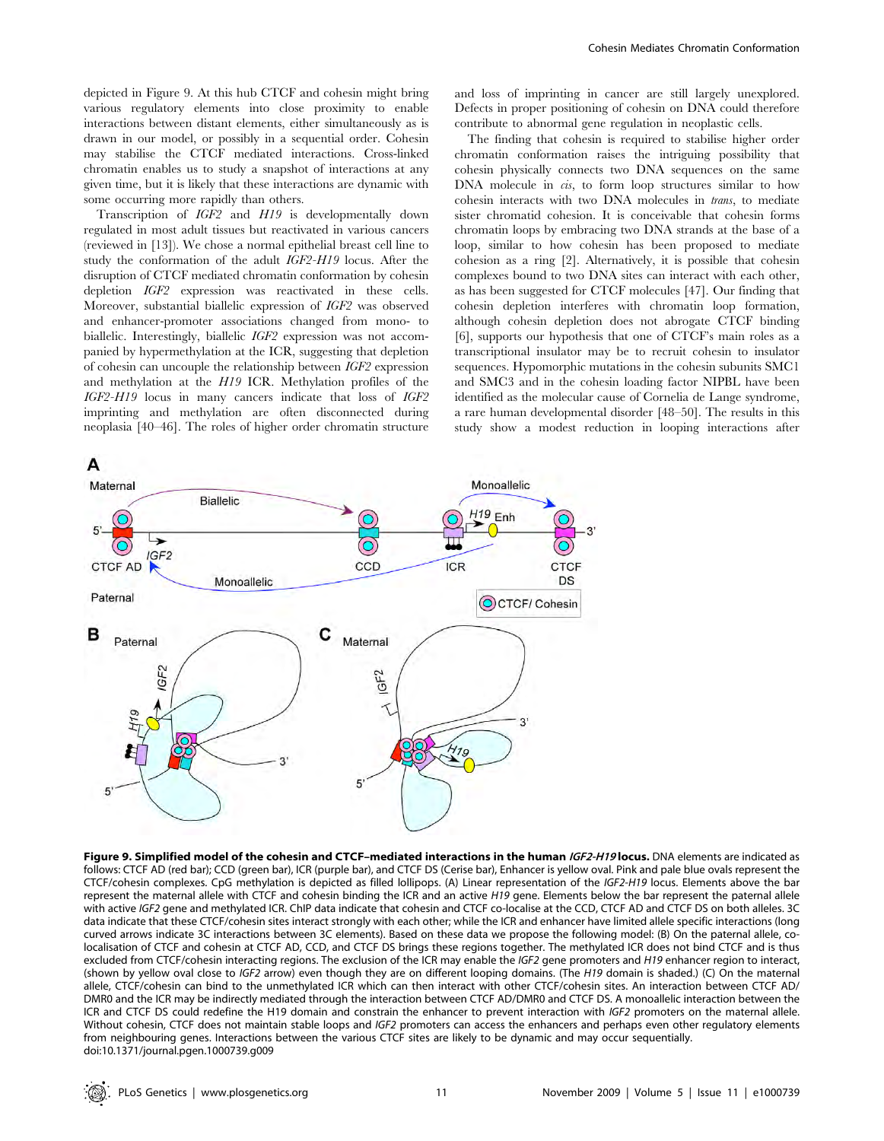depicted in Figure 9. At this hub CTCF and cohesin might bring various regulatory elements into close proximity to enable interactions between distant elements, either simultaneously as is drawn in our model, or possibly in a sequential order. Cohesin may stabilise the CTCF mediated interactions. Cross-linked chromatin enables us to study a snapshot of interactions at any given time, but it is likely that these interactions are dynamic with some occurring more rapidly than others.

Transcription of IGF2 and H19 is developmentally down regulated in most adult tissues but reactivated in various cancers (reviewed in [13]). We chose a normal epithelial breast cell line to study the conformation of the adult IGF2-H19 locus. After the disruption of CTCF mediated chromatin conformation by cohesin depletion IGF2 expression was reactivated in these cells. Moreover, substantial biallelic expression of IGF2 was observed and enhancer-promoter associations changed from mono- to biallelic. Interestingly, biallelic IGF2 expression was not accompanied by hypermethylation at the ICR, suggesting that depletion of cohesin can uncouple the relationship between IGF2 expression and methylation at the H19 ICR. Methylation profiles of the IGF2-H19 locus in many cancers indicate that loss of IGF2 imprinting and methylation are often disconnected during neoplasia [40–46]. The roles of higher order chromatin structure

and loss of imprinting in cancer are still largely unexplored. Defects in proper positioning of cohesin on DNA could therefore contribute to abnormal gene regulation in neoplastic cells.

The finding that cohesin is required to stabilise higher order chromatin conformation raises the intriguing possibility that cohesin physically connects two DNA sequences on the same DNA molecule in *cis*, to form loop structures similar to how cohesin interacts with two DNA molecules in trans, to mediate sister chromatid cohesion. It is conceivable that cohesin forms chromatin loops by embracing two DNA strands at the base of a loop, similar to how cohesin has been proposed to mediate cohesion as a ring [2]. Alternatively, it is possible that cohesin complexes bound to two DNA sites can interact with each other, as has been suggested for CTCF molecules [47]. Our finding that cohesin depletion interferes with chromatin loop formation, although cohesin depletion does not abrogate CTCF binding [6], supports our hypothesis that one of CTCF's main roles as a transcriptional insulator may be to recruit cohesin to insulator sequences. Hypomorphic mutations in the cohesin subunits SMC1 and SMC3 and in the cohesin loading factor NIPBL have been identified as the molecular cause of Cornelia de Lange syndrome, a rare human developmental disorder [48–50]. The results in this study show a modest reduction in looping interactions after



Figure 9. Simplified model of the cohesin and CTCF-mediated interactions in the human IGF2-H19 locus. DNA elements are indicated as follows: CTCF AD (red bar); CCD (green bar), ICR (purple bar), and CTCF DS (Cerise bar), Enhancer is yellow oval. Pink and pale blue ovals represent the CTCF/cohesin complexes. CpG methylation is depicted as filled lollipops. (A) Linear representation of the IGF2-H19 locus. Elements above the bar represent the maternal allele with CTCF and cohesin binding the ICR and an active H19 gene. Elements below the bar represent the paternal allele with active IGF2 gene and methylated ICR. ChIP data indicate that cohesin and CTCF co-localise at the CCD, CTCF AD and CTCF DS on both alleles. 3C data indicate that these CTCF/cohesin sites interact strongly with each other; while the ICR and enhancer have limited allele specific interactions (long curved arrows indicate 3C interactions between 3C elements). Based on these data we propose the following model: (B) On the paternal allele, colocalisation of CTCF and cohesin at CTCF AD, CCD, and CTCF DS brings these regions together. The methylated ICR does not bind CTCF and is thus excluded from CTCF/cohesin interacting regions. The exclusion of the ICR may enable the IGF2 gene promoters and H19 enhancer region to interact, (shown by yellow oval close to IGF2 arrow) even though they are on different looping domains. (The H19 domain is shaded.) (C) On the maternal allele, CTCF/cohesin can bind to the unmethylated ICR which can then interact with other CTCF/cohesin sites. An interaction between CTCF AD/ DMR0 and the ICR may be indirectly mediated through the interaction between CTCF AD/DMR0 and CTCF DS. A monoallelic interaction between the ICR and CTCF DS could redefine the H19 domain and constrain the enhancer to prevent interaction with IGF2 promoters on the maternal allele. Without cohesin, CTCF does not maintain stable loops and IGF2 promoters can access the enhancers and perhaps even other regulatory elements from neighbouring genes. Interactions between the various CTCF sites are likely to be dynamic and may occur sequentially. doi:10.1371/journal.pgen.1000739.g009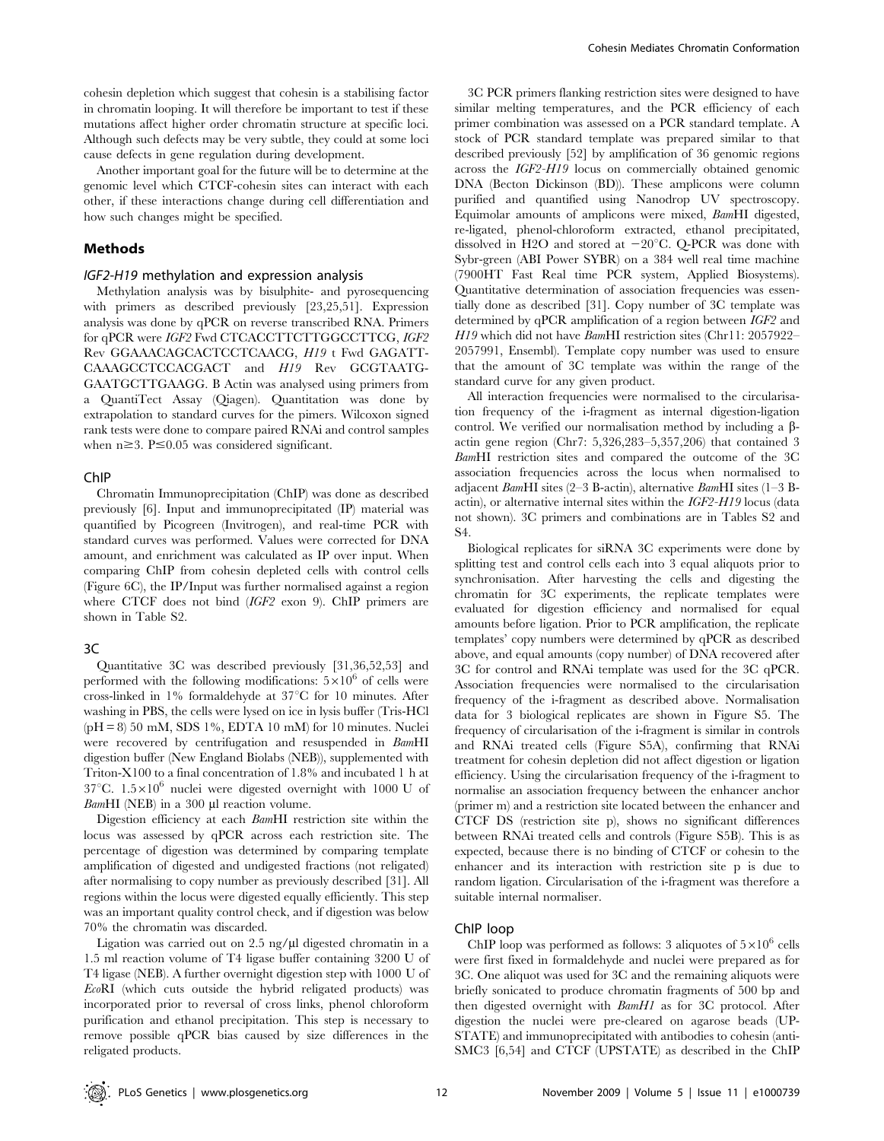cohesin depletion which suggest that cohesin is a stabilising factor in chromatin looping. It will therefore be important to test if these mutations affect higher order chromatin structure at specific loci. Although such defects may be very subtle, they could at some loci cause defects in gene regulation during development.

Another important goal for the future will be to determine at the genomic level which CTCF-cohesin sites can interact with each other, if these interactions change during cell differentiation and how such changes might be specified.

#### Methods

#### IGF2-H19 methylation and expression analysis

Methylation analysis was by bisulphite- and pyrosequencing with primers as described previously [23,25,51]. Expression analysis was done by qPCR on reverse transcribed RNA. Primers for qPCR were IGF2 Fwd CTCACCTTCTTGGCCTTCG, IGF2 Rev GGAAACAGCACTCCTCAACG, H19 t Fwd GAGATT-CAAAGCCTCCACGACT and H19 Rev GCGTAATG-GAATGCTTGAAGG. B Actin was analysed using primers from a QuantiTect Assay (Qiagen). Quantitation was done by extrapolation to standard curves for the pimers. Wilcoxon signed rank tests were done to compare paired RNAi and control samples when  $n \geq 3$ . P $\leq 0.05$  was considered significant.

#### ChIP

Chromatin Immunoprecipitation (ChIP) was done as described previously [6]. Input and immunoprecipitated (IP) material was quantified by Picogreen (Invitrogen), and real-time PCR with standard curves was performed. Values were corrected for DNA amount, and enrichment was calculated as IP over input. When comparing ChIP from cohesin depleted cells with control cells (Figure 6C), the IP/Input was further normalised against a region where CTCF does not bind (IGF2 exon 9). ChIP primers are shown in Table S2.

#### 3C

Quantitative 3C was described previously [31,36,52,53] and performed with the following modifications:  $5\times10^6$  of cells were cross-linked in  $1\%$  formaldehyde at  $37^{\circ}$ C for 10 minutes. After washing in PBS, the cells were lysed on ice in lysis buffer (Tris-HCl  $(pH = 8)$  50 mM, SDS 1%, EDTA 10 mM for 10 minutes. Nuclei were recovered by centrifugation and resuspended in BamHI digestion buffer (New England Biolabs (NEB)), supplemented with Triton-X100 to a final concentration of 1.8% and incubated 1 h at 37°C.  $1.5 \times 10^6$  nuclei were digested overnight with 1000 U of  $BamHI$  (NEB) in a 300  $\mu$ l reaction volume.

Digestion efficiency at each BamHI restriction site within the locus was assessed by qPCR across each restriction site. The percentage of digestion was determined by comparing template amplification of digested and undigested fractions (not religated) after normalising to copy number as previously described [31]. All regions within the locus were digested equally efficiently. This step was an important quality control check, and if digestion was below 70% the chromatin was discarded.

Ligation was carried out on  $2.5$  ng/ $\mu$ l digested chromatin in a 1.5 ml reaction volume of T4 ligase buffer containing 3200 U of T4 ligase (NEB). A further overnight digestion step with 1000 U of EcoRI (which cuts outside the hybrid religated products) was incorporated prior to reversal of cross links, phenol chloroform purification and ethanol precipitation. This step is necessary to remove possible qPCR bias caused by size differences in the religated products.

3C PCR primers flanking restriction sites were designed to have similar melting temperatures, and the PCR efficiency of each primer combination was assessed on a PCR standard template. A stock of PCR standard template was prepared similar to that described previously [52] by amplification of 36 genomic regions across the IGF2-H19 locus on commercially obtained genomic DNA (Becton Dickinson (BD)). These amplicons were column purified and quantified using Nanodrop UV spectroscopy. Equimolar amounts of amplicons were mixed, BamHI digested, re-ligated, phenol-chloroform extracted, ethanol precipitated, dissolved in H2O and stored at  $-20^{\circ}$ C. Q-PCR was done with Sybr-green (ABI Power SYBR) on a 384 well real time machine (7900HT Fast Real time PCR system, Applied Biosystems). Quantitative determination of association frequencies was essentially done as described [31]. Copy number of 3C template was determined by qPCR amplification of a region between IGF2 and H19 which did not have BamHI restriction sites (Chr11: 2057922-2057991, Ensembl). Template copy number was used to ensure that the amount of 3C template was within the range of the standard curve for any given product.

All interaction frequencies were normalised to the circularisation frequency of the i-fragment as internal digestion-ligation control. We verified our normalisation method by including a  $\beta$ actin gene region (Chr7: 5,326,283–5,357,206) that contained 3 BamHI restriction sites and compared the outcome of the 3C association frequencies across the locus when normalised to adjacent BamHI sites (2–3 B-actin), alternative BamHI sites (1–3 Bactin), or alternative internal sites within the IGF2-H19 locus (data not shown). 3C primers and combinations are in Tables S2 and S4.

Biological replicates for siRNA 3C experiments were done by splitting test and control cells each into 3 equal aliquots prior to synchronisation. After harvesting the cells and digesting the chromatin for 3C experiments, the replicate templates were evaluated for digestion efficiency and normalised for equal amounts before ligation. Prior to PCR amplification, the replicate templates' copy numbers were determined by qPCR as described above, and equal amounts (copy number) of DNA recovered after 3C for control and RNAi template was used for the 3C qPCR. Association frequencies were normalised to the circularisation frequency of the i-fragment as described above. Normalisation data for 3 biological replicates are shown in Figure S5. The frequency of circularisation of the i-fragment is similar in controls and RNAi treated cells (Figure S5A), confirming that RNAi treatment for cohesin depletion did not affect digestion or ligation efficiency. Using the circularisation frequency of the i-fragment to normalise an association frequency between the enhancer anchor (primer m) and a restriction site located between the enhancer and CTCF DS (restriction site p), shows no significant differences between RNAi treated cells and controls (Figure S5B). This is as expected, because there is no binding of CTCF or cohesin to the enhancer and its interaction with restriction site p is due to random ligation. Circularisation of the i-fragment was therefore a suitable internal normaliser.

# ChIP loop

ChIP loop was performed as follows: 3 aliquotes of  $5\times10^6$  cells were first fixed in formaldehyde and nuclei were prepared as for 3C. One aliquot was used for 3C and the remaining aliquots were briefly sonicated to produce chromatin fragments of 500 bp and then digested overnight with BamH1 as for 3C protocol. After digestion the nuclei were pre-cleared on agarose beads (UP-STATE) and immunoprecipitated with antibodies to cohesin (anti-SMC3 [6,54] and CTCF (UPSTATE) as described in the ChIP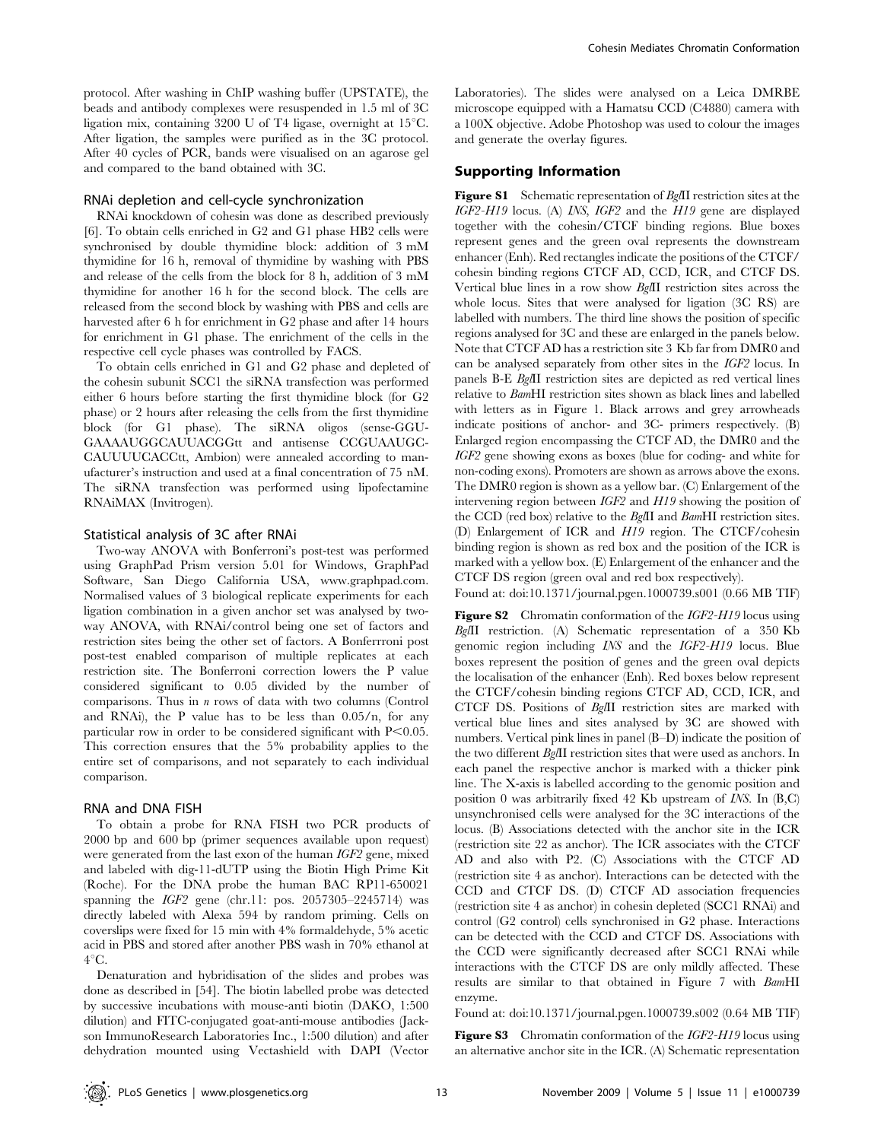protocol. After washing in ChIP washing buffer (UPSTATE), the beads and antibody complexes were resuspended in 1.5 ml of 3C ligation mix, containing 3200 U of T4 ligase, overnight at  $15^{\circ}$ C. After ligation, the samples were purified as in the 3C protocol. After 40 cycles of PCR, bands were visualised on an agarose gel and compared to the band obtained with 3C.

#### RNAi depletion and cell-cycle synchronization

RNAi knockdown of cohesin was done as described previously [6]. To obtain cells enriched in G2 and G1 phase HB2 cells were synchronised by double thymidine block: addition of 3 mM thymidine for 16 h, removal of thymidine by washing with PBS and release of the cells from the block for 8 h, addition of 3 mM thymidine for another 16 h for the second block. The cells are released from the second block by washing with PBS and cells are harvested after 6 h for enrichment in G2 phase and after 14 hours for enrichment in G1 phase. The enrichment of the cells in the respective cell cycle phases was controlled by FACS.

To obtain cells enriched in G1 and G2 phase and depleted of the cohesin subunit SCC1 the siRNA transfection was performed either 6 hours before starting the first thymidine block (for G2 phase) or 2 hours after releasing the cells from the first thymidine block (for G1 phase). The siRNA oligos (sense-GGU-GAAAAUGGCAUUACGGtt and antisense CCGUAAUGC-CAUUUUCACCtt, Ambion) were annealed according to manufacturer's instruction and used at a final concentration of 75 nM. The siRNA transfection was performed using lipofectamine RNAiMAX (Invitrogen).

#### Statistical analysis of 3C after RNAi

Two-way ANOVA with Bonferroni's post-test was performed using GraphPad Prism version 5.01 for Windows, GraphPad Software, San Diego California USA, www.graphpad.com. Normalised values of 3 biological replicate experiments for each ligation combination in a given anchor set was analysed by twoway ANOVA, with RNAi/control being one set of factors and restriction sites being the other set of factors. A Bonferrroni post post-test enabled comparison of multiple replicates at each restriction site. The Bonferroni correction lowers the P value considered significant to 0.05 divided by the number of comparisons. Thus in  $n$  rows of data with two columns (Control and RNAi), the P value has to be less than 0.05/n, for any particular row in order to be considered significant with  $P<0.05$ . This correction ensures that the 5% probability applies to the entire set of comparisons, and not separately to each individual comparison.

#### RNA and DNA FISH

To obtain a probe for RNA FISH two PCR products of 2000 bp and 600 bp (primer sequences available upon request) were generated from the last exon of the human IGF2 gene, mixed and labeled with dig-11-dUTP using the Biotin High Prime Kit (Roche). For the DNA probe the human BAC RP11-650021 spanning the  $IGF2$  gene (chr.11: pos. 2057305–2245714) was directly labeled with Alexa 594 by random priming. Cells on coverslips were fixed for 15 min with 4% formaldehyde, 5% acetic acid in PBS and stored after another PBS wash in 70% ethanol at  $4^{\circ}C$ .

Denaturation and hybridisation of the slides and probes was done as described in [54]. The biotin labelled probe was detected by successive incubations with mouse-anti biotin (DAKO, 1:500 dilution) and FITC-conjugated goat-anti-mouse antibodies (Jackson ImmunoResearch Laboratories Inc., 1:500 dilution) and after dehydration mounted using Vectashield with DAPI (Vector Laboratories). The slides were analysed on a Leica DMRBE microscope equipped with a Hamatsu CCD (C4880) camera with a 100X objective. Adobe Photoshop was used to colour the images and generate the overlay figures.

# Supporting Information

Figure S1 Schematic representation of BgIII restriction sites at the IGF2-H19 locus. (A) INS, IGF2 and the H19 gene are displayed together with the cohesin/CTCF binding regions. Blue boxes represent genes and the green oval represents the downstream enhancer (Enh). Red rectangles indicate the positions of the CTCF/ cohesin binding regions CTCF AD, CCD, ICR, and CTCF DS. Vertical blue lines in a row show BglII restriction sites across the whole locus. Sites that were analysed for ligation (3C RS) are labelled with numbers. The third line shows the position of specific regions analysed for 3C and these are enlarged in the panels below. Note that CTCF AD has a restriction site 3 Kb far from DMR0 and can be analysed separately from other sites in the IGF2 locus. In panels B-E BglII restriction sites are depicted as red vertical lines relative to BamHI restriction sites shown as black lines and labelled with letters as in Figure 1. Black arrows and grey arrowheads indicate positions of anchor- and 3C- primers respectively. (B) Enlarged region encompassing the CTCF AD, the DMR0 and the IGF2 gene showing exons as boxes (blue for coding- and white for non-coding exons). Promoters are shown as arrows above the exons. The DMR0 region is shown as a yellow bar. (C) Enlargement of the intervening region between IGF2 and H19 showing the position of the CCD (red box) relative to the BglII and BamHI restriction sites. (D) Enlargement of ICR and H19 region. The CTCF/cohesin binding region is shown as red box and the position of the ICR is marked with a yellow box. (E) Enlargement of the enhancer and the CTCF DS region (green oval and red box respectively).

Found at: doi:10.1371/journal.pgen.1000739.s001 (0.66 MB TIF)

Figure S2 Chromatin conformation of the IGF2-H19 locus using BglII restriction. (A) Schematic representation of a 350 Kb genomic region including INS and the IGF2-H19 locus. Blue boxes represent the position of genes and the green oval depicts the localisation of the enhancer (Enh). Red boxes below represent the CTCF/cohesin binding regions CTCF AD, CCD, ICR, and CTCF DS. Positions of BglII restriction sites are marked with vertical blue lines and sites analysed by 3C are showed with numbers. Vertical pink lines in panel (B–D) indicate the position of the two different BglII restriction sites that were used as anchors. In each panel the respective anchor is marked with a thicker pink line. The X-axis is labelled according to the genomic position and position 0 was arbitrarily fixed 42 Kb upstream of INS. In (B,C) unsynchronised cells were analysed for the 3C interactions of the locus. (B) Associations detected with the anchor site in the ICR (restriction site 22 as anchor). The ICR associates with the CTCF AD and also with P2. (C) Associations with the CTCF AD (restriction site 4 as anchor). Interactions can be detected with the CCD and CTCF DS. (D) CTCF AD association frequencies (restriction site 4 as anchor) in cohesin depleted (SCC1 RNAi) and control (G2 control) cells synchronised in G2 phase. Interactions can be detected with the CCD and CTCF DS. Associations with the CCD were significantly decreased after SCC1 RNAi while interactions with the CTCF DS are only mildly affected. These results are similar to that obtained in Figure 7 with BamHI enzyme.

Found at: doi:10.1371/journal.pgen.1000739.s002 (0.64 MB TIF)

Figure S3 Chromatin conformation of the IGF2-H19 locus using an alternative anchor site in the ICR. (A) Schematic representation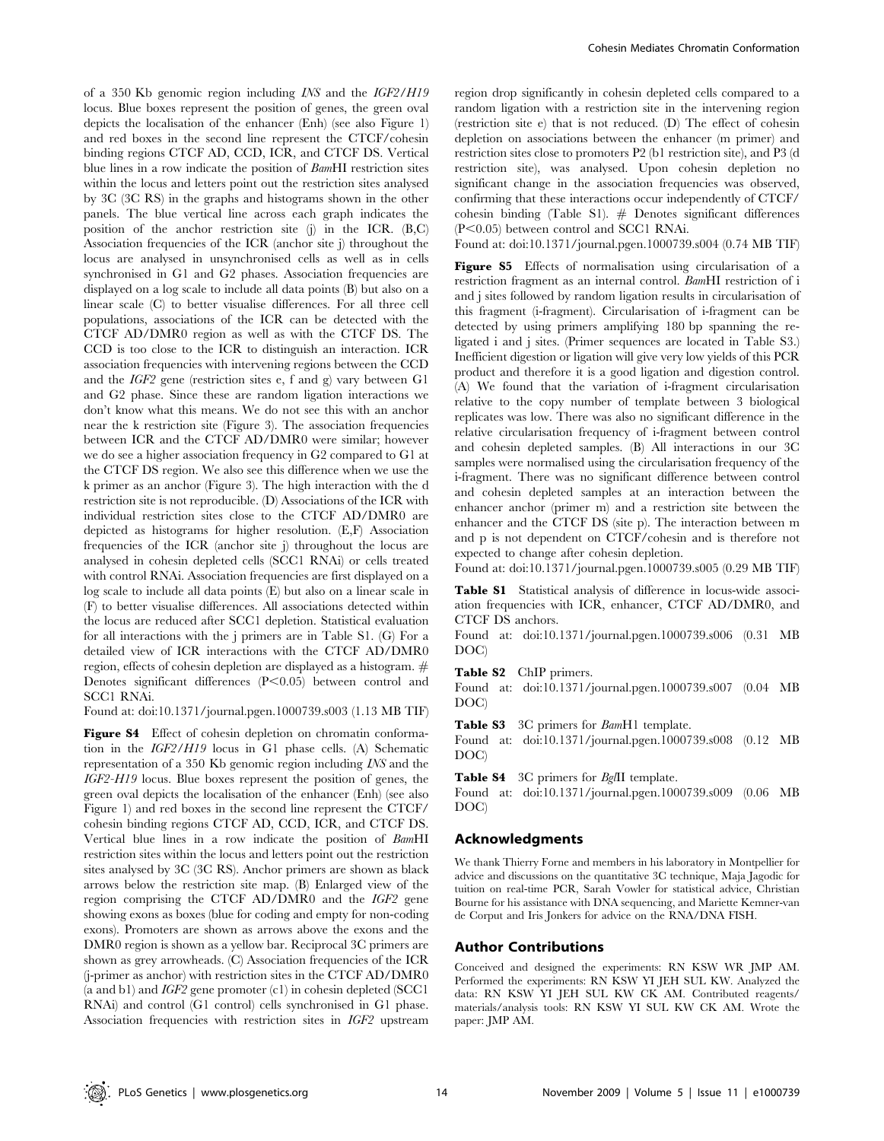of a 350 Kb genomic region including INS and the IGF2/H19 locus. Blue boxes represent the position of genes, the green oval depicts the localisation of the enhancer (Enh) (see also Figure 1) and red boxes in the second line represent the CTCF/cohesin binding regions CTCF AD, CCD, ICR, and CTCF DS. Vertical blue lines in a row indicate the position of BamHI restriction sites within the locus and letters point out the restriction sites analysed by 3C (3C RS) in the graphs and histograms shown in the other panels. The blue vertical line across each graph indicates the position of the anchor restriction site (j) in the ICR. (B,C) Association frequencies of the ICR (anchor site j) throughout the locus are analysed in unsynchronised cells as well as in cells synchronised in G1 and G2 phases. Association frequencies are displayed on a log scale to include all data points (B) but also on a linear scale (C) to better visualise differences. For all three cell populations, associations of the ICR can be detected with the CTCF AD/DMR0 region as well as with the CTCF DS. The CCD is too close to the ICR to distinguish an interaction. ICR association frequencies with intervening regions between the CCD and the IGF2 gene (restriction sites e, f and g) vary between G1 and G2 phase. Since these are random ligation interactions we don't know what this means. We do not see this with an anchor near the k restriction site (Figure 3). The association frequencies between ICR and the CTCF AD/DMR0 were similar; however we do see a higher association frequency in G2 compared to G1 at the CTCF DS region. We also see this difference when we use the k primer as an anchor (Figure 3). The high interaction with the d restriction site is not reproducible. (D) Associations of the ICR with individual restriction sites close to the CTCF AD/DMR0 are depicted as histograms for higher resolution. (E,F) Association frequencies of the ICR (anchor site j) throughout the locus are analysed in cohesin depleted cells (SCC1 RNAi) or cells treated with control RNAi. Association frequencies are first displayed on a log scale to include all data points (E) but also on a linear scale in (F) to better visualise differences. All associations detected within the locus are reduced after SCC1 depletion. Statistical evaluation for all interactions with the j primers are in Table S1. (G) For a detailed view of ICR interactions with the CTCF AD/DMR0 region, effects of cohesin depletion are displayed as a histogram. # Denotes significant differences  $(P<0.05)$  between control and SCC1 RNAi.

Found at: doi:10.1371/journal.pgen.1000739.s003 (1.13 MB TIF)

Figure S4 Effect of cohesin depletion on chromatin conformation in the IGF2/H19 locus in G1 phase cells. (A) Schematic representation of a 350 Kb genomic region including INS and the IGF2-H19 locus. Blue boxes represent the position of genes, the green oval depicts the localisation of the enhancer (Enh) (see also Figure 1) and red boxes in the second line represent the CTCF/ cohesin binding regions CTCF AD, CCD, ICR, and CTCF DS. Vertical blue lines in a row indicate the position of BamHI restriction sites within the locus and letters point out the restriction sites analysed by 3C (3C RS). Anchor primers are shown as black arrows below the restriction site map. (B) Enlarged view of the region comprising the CTCF AD/DMR0 and the IGF2 gene showing exons as boxes (blue for coding and empty for non-coding exons). Promoters are shown as arrows above the exons and the DMR0 region is shown as a yellow bar. Reciprocal 3C primers are shown as grey arrowheads. (C) Association frequencies of the ICR (j-primer as anchor) with restriction sites in the CTCF AD/DMR0 (a and b1) and IGF2 gene promoter (c1) in cohesin depleted (SCC1 RNAi) and control (G1 control) cells synchronised in G1 phase. Association frequencies with restriction sites in IGF2 upstream

region drop significantly in cohesin depleted cells compared to a random ligation with a restriction site in the intervening region (restriction site e) that is not reduced. (D) The effect of cohesin depletion on associations between the enhancer (m primer) and restriction sites close to promoters P2 (b1 restriction site), and P3 (d restriction site), was analysed. Upon cohesin depletion no significant change in the association frequencies was observed, confirming that these interactions occur independently of CTCF/ cohesin binding (Table S1).  $#$  Denotes significant differences  $(P<0.05)$  between control and SCC1 RNAi.

Found at: doi:10.1371/journal.pgen.1000739.s004 (0.74 MB TIF)

Figure S5 Effects of normalisation using circularisation of a restriction fragment as an internal control. BamHI restriction of i and j sites followed by random ligation results in circularisation of this fragment (i-fragment). Circularisation of i-fragment can be detected by using primers amplifying 180 bp spanning the religated i and j sites. (Primer sequences are located in Table S3.) Inefficient digestion or ligation will give very low yields of this PCR product and therefore it is a good ligation and digestion control. (A) We found that the variation of i-fragment circularisation relative to the copy number of template between 3 biological replicates was low. There was also no significant difference in the relative circularisation frequency of i-fragment between control and cohesin depleted samples. (B) All interactions in our 3C samples were normalised using the circularisation frequency of the i-fragment. There was no significant difference between control and cohesin depleted samples at an interaction between the enhancer anchor (primer m) and a restriction site between the enhancer and the CTCF DS (site p). The interaction between m and p is not dependent on CTCF/cohesin and is therefore not expected to change after cohesin depletion.

Found at: doi:10.1371/journal.pgen.1000739.s005 (0.29 MB TIF)

Table S1 Statistical analysis of difference in locus-wide association frequencies with ICR, enhancer, CTCF AD/DMR0, and CTCF DS anchors.

Found at: doi:10.1371/journal.pgen.1000739.s006 (0.31 MB DOC)

#### Table S2 ChIP primers.

Found at: doi:10.1371/journal.pgen.1000739.s007 (0.04 MB DOC)

Table S3 3C primers for BamH1 template.

Found at: doi:10.1371/journal.pgen.1000739.s008 (0.12 MB DOC)

Table S4 3C primers for BgIII template.

Found at: doi:10.1371/journal.pgen.1000739.s009 (0.06 MB DOC)

#### Acknowledgments

We thank Thierry Forne and members in his laboratory in Montpellier for advice and discussions on the quantitative 3C technique, Maja Jagodic for tuition on real-time PCR, Sarah Vowler for statistical advice, Christian Bourne for his assistance with DNA sequencing, and Mariette Kemner-van de Corput and Iris Jonkers for advice on the RNA/DNA FISH.

#### Author Contributions

Conceived and designed the experiments: RN KSW WR JMP AM. Performed the experiments: RN KSW YI JEH SUL KW. Analyzed the data: RN KSW YI JEH SUL KW CK AM. Contributed reagents/ materials/analysis tools: RN KSW YI SUL KW CK AM. Wrote the paper: JMP AM.